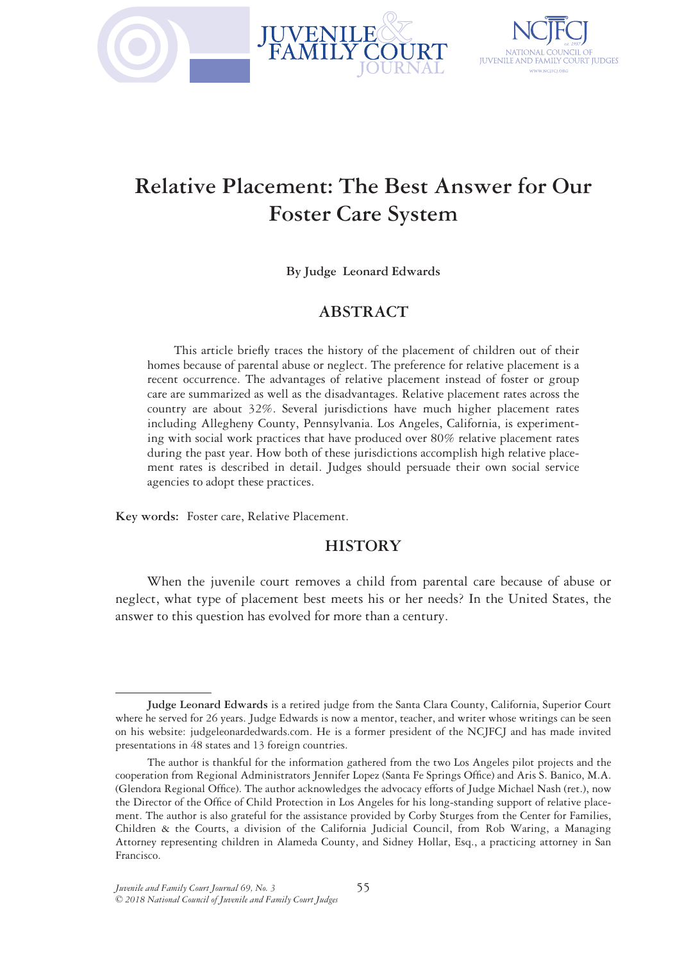

# Relative Placement: The Best Answer for Our Foster Care System

By Judge Leonard Edwards

# ABSTRACT

This article briefly traces the history of the placement of children out of their homes because of parental abuse or neglect. The preference for relative placement is a recent occurrence. The advantages of relative placement instead of foster or group care are summarized as well as the disadvantages. Relative placement rates across the country are about 32%. Several jurisdictions have much higher placement rates including Allegheny County, Pennsylvania. Los Angeles, California, is experimenting with social work practices that have produced over 80% relative placement rates during the past year. How both of these jurisdictions accomplish high relative placement rates is described in detail. Judges should persuade their own social service agencies to adopt these practices.

Key words: Foster care, Relative Placement.

## **HISTORY**

When the juvenile court removes a child from parental care because of abuse or neglect, what type of placement best meets his or her needs? In the United States, the answer to this question has evolved for more than a century.

Judge Leonard Edwards is a retired judge from the Santa Clara County, California, Superior Court where he served for 26 years. Judge Edwards is now a mentor, teacher, and writer whose writings can be seen on his website: judgeleonardedwards.com. He is a former president of the NCJFCJ and has made invited presentations in 48 states and 13 foreign countries.

The author is thankful for the information gathered from the two Los Angeles pilot projects and the cooperation from Regional Administrators Jennifer Lopez (Santa Fe Springs Office) and Aris S. Banico, M.A. (Glendora Regional Office). The author acknowledges the advocacy efforts of Judge Michael Nash (ret.), now the Director of the Office of Child Protection in Los Angeles for his long-standing support of relative placement. The author is also grateful for the assistance provided by Corby Sturges from the Center for Families, Children & the Courts, a division of the California Judicial Council, from Rob Waring, a Managing Attorney representing children in Alameda County, and Sidney Hollar, Esq., a practicing attorney in San Francisco.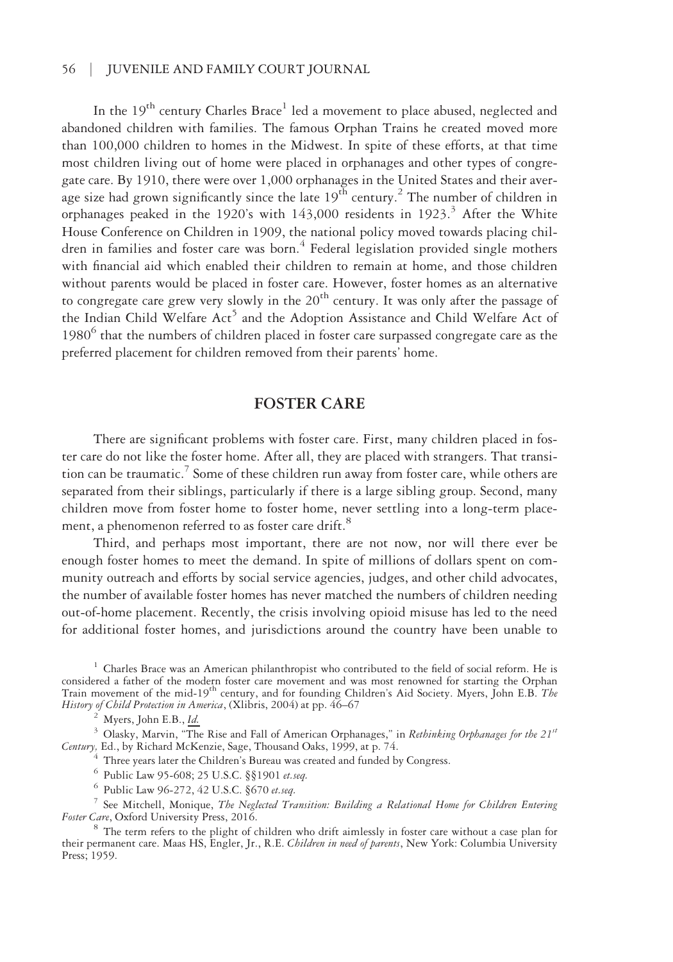In the  $19<sup>th</sup>$  century Charles Brace<sup>1</sup> led a movement to place abused, neglected and abandoned children with families. The famous Orphan Trains he created moved more than 100,000 children to homes in the Midwest. In spite of these efforts, at that time most children living out of home were placed in orphanages and other types of congregate care. By 1910, there were over 1,000 orphanages in the United States and their average size had grown significantly since the late  $19^{th}$  century.<sup>2</sup> The number of children in orphanages peaked in the 1920's with  $143,000$  residents in 1923.<sup>3</sup> After the White House Conference on Children in 1909, the national policy moved towards placing children in families and foster care was born.<sup>4</sup> Federal legislation provided single mothers with financial aid which enabled their children to remain at home, and those children without parents would be placed in foster care. However, foster homes as an alternative to congregate care grew very slowly in the  $20<sup>th</sup>$  century. It was only after the passage of the Indian Child Welfare Act<sup>5</sup> and the Adoption Assistance and Child Welfare Act of 1980 $^6$  that the numbers of children placed in foster care surpassed congregate care as the preferred placement for children removed from their parents' home.

## FOSTER CARE

There are significant problems with foster care. First, many children placed in foster care do not like the foster home. After all, they are placed with strangers. That transition can be traumatic.<sup>7</sup> Some of these children run away from foster care, while others are separated from their siblings, particularly if there is a large sibling group. Second, many children move from foster home to foster home, never settling into a long-term placement, a phenomenon referred to as foster care drift.<sup>8</sup>

Third, and perhaps most important, there are not now, nor will there ever be enough foster homes to meet the demand. In spite of millions of dollars spent on community outreach and efforts by social service agencies, judges, and other child advocates, the number of available foster homes has never matched the numbers of children needing out-of-home placement. Recently, the crisis involving opioid misuse has led to the need for additional foster homes, and jurisdictions around the country have been unable to

<sup>2</sup> Myers, John E.B., *Id.*<br><sup>3</sup> Olasky, Marvin, "The Rise and Fall of American Orphanages," in *Rethinking Orphanages for the 21<sup>st</sup>* Century, Ed., by Richard McKenzie, Sage, Thousand Oaks, 1999, at p. 74.

<sup>4</sup> Three years later the Children's Bureau was created and funded by Congress.<br><sup>6</sup> Public Law 95-608; 25 U.S.C. §§1901 *et.seq.*<br><sup>6</sup> Public Law 96-272, 42 U.S.C. §670 *et.seq.*<br><sup>7</sup> See Mitchell, Monique, *The Negleted Tr* 

 $^8$  The term refers to the plight of children who drift aimlessly in foster care without a case plan for their permanent care. Maas HS, Engler, Jr., R.E. Children in need of parents, New York: Columbia University Press; 1959.

 $1$  Charles Brace was an American philanthropist who contributed to the field of social reform. He is considered a father of the modern foster care movement and was most renowned for starting the Orphan<br>Train movement of the mid-19<sup>th</sup> century, and for founding Children's Aid Society. Myers, John E.B. *The*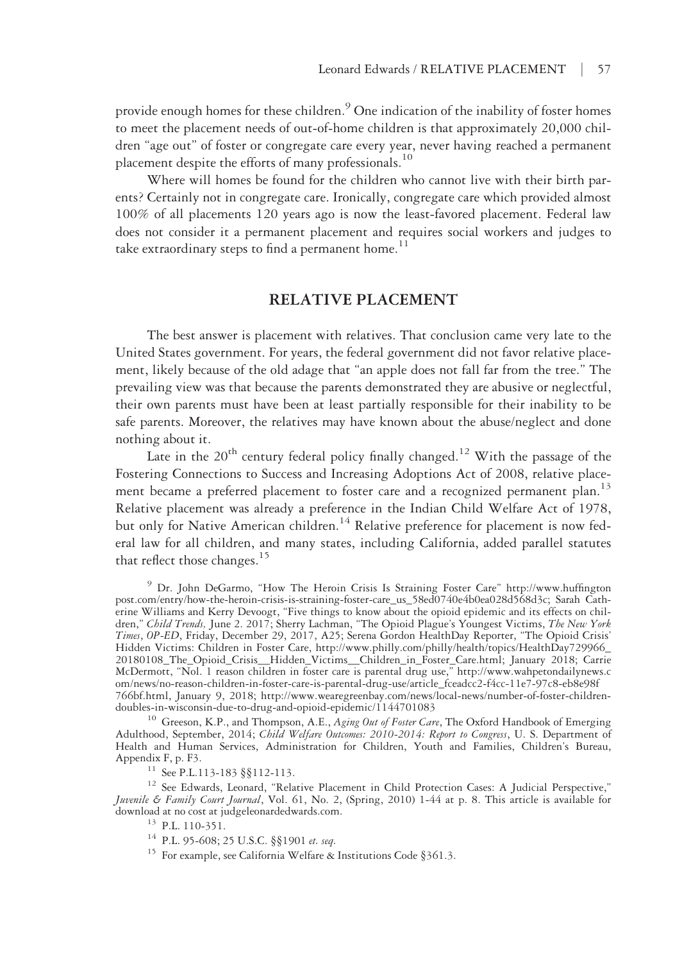provide enough homes for these children.<sup>9</sup> One indication of the inability of foster homes to meet the placement needs of out-of-home children is that approximately 20,000 children "age out" of foster or congregate care every year, never having reached a permanent placement despite the efforts of many professionals.<sup>10</sup>

Where will homes be found for the children who cannot live with their birth parents? Certainly not in congregate care. Ironically, congregate care which provided almost 100% of all placements 120 years ago is now the least-favored placement. Federal law does not consider it a permanent placement and requires social workers and judges to take extraordinary steps to find a permanent home.<sup>11</sup>

## RELATIVE PLACEMENT

The best answer is placement with relatives. That conclusion came very late to the United States government. For years, the federal government did not favor relative placement, likely because of the old adage that "an apple does not fall far from the tree." The prevailing view was that because the parents demonstrated they are abusive or neglectful, their own parents must have been at least partially responsible for their inability to be safe parents. Moreover, the relatives may have known about the abuse/neglect and done nothing about it.

Late in the  $20<sup>th</sup>$  century federal policy finally changed.<sup>12</sup> With the passage of the Fostering Connections to Success and Increasing Adoptions Act of 2008, relative placement became a preferred placement to foster care and a recognized permanent plan.<sup>13</sup> Relative placement was already a preference in the Indian Child Welfare Act of 1978, but only for Native American children.<sup>14</sup> Relative preference for placement is now federal law for all children, and many states, including California, added parallel statutes that reflect those changes.<sup>15</sup>

<sup>9</sup> Dr. John DeGarmo, "How The Heroin Crisis Is Straining Foster Care" [http://www.huffington](http://www.huffingtonpost.com/entry/how-the-heroin-crisis-is-straining-foster-care_us_58ed0740e4b0ea028d568d3c) [post.com/entry/how-the-heroin-crisis-is-straining-foster-care\\_us\\_58ed0740e4b0ea028d568d3c;](http://www.huffingtonpost.com/entry/how-the-heroin-crisis-is-straining-foster-care_us_58ed0740e4b0ea028d568d3c) Sarah Catherine Williams and Kerry Devoogt, "Five things to know about the opioid epidemic and its effects on children," Child Trends, June 2. 2017; Sherry Lachman, "The Opioid Plague's Youngest Victims, The New York Times, OP-ED, Friday, December 29, 2017, A25; Serena Gordon HealthDay Reporter, "The Opioid Crisis' Hidden Victims: Children in Foster Care, [http://www.philly.com/philly/health/topics/HealthDay729966\\_](http://www.philly.com/philly/health/topics/HealthDay729966_20180108_The_Opioid_Crisis__Hidden_Victims__Children_in_Foster_Care.html) [20180108\\_The\\_Opioid\\_Crisis\\_\\_Hidden\\_Victims\\_\\_Children\\_in\\_Foster\\_Care.html;](http://www.philly.com/philly/health/topics/HealthDay729966_20180108_The_Opioid_Crisis__Hidden_Victims__Children_in_Foster_Care.html) January 2018; Carrie McDermott, "Nol. 1 reason children in foster care is parental drug use," [http://www.wahpetondailynews.c](http://www.wahpetondailynews.com/news/no-reason-children-in-foster-care-is-parental-drug-use/article_fceadcc2-f4cc-11e7-97c8-eb8e98f766bf.html) [om/news/no-reason-children-in-foster-care-is-parental-drug-use/article\\_fceadcc2-f4cc-11e7-97c8-eb8e98f](http://www.wahpetondailynews.com/news/no-reason-children-in-foster-care-is-parental-drug-use/article_fceadcc2-f4cc-11e7-97c8-eb8e98f766bf.html) [766bf.html](http://www.wahpetondailynews.com/news/no-reason-children-in-foster-care-is-parental-drug-use/article_fceadcc2-f4cc-11e7-97c8-eb8e98f766bf.html), January 9, 2018; [http://www.wearegreenbay.com/news/local-news/number-of-foster-children-](http://www.wearegreenbay.com/news/local-news/number-of-foster-children-doubles-in-wisconsin-due-to-drug-and-opioid-epidemic/1144701083)

 $^{10}$  Greeson, K.P., and Thompson, A.E., Aging Out of Foster Care, The Oxford Handbook of Emerging Adulthood, September, 2014; Child Welfare Outcomes: 2010-2014: Report to Congress, U. S. Department of Health and Human Services, Administration for Children, Youth and Families, Children's Bureau,

<sup>11</sup> See P.L.113-183 §§112-113.<br><sup>12</sup> See Edwards, Leonard, "Relative Placement in Child Protection Cases: A Judicial Perspective," Juvenile & Family Court Journal, Vol. 61, No. 2, (Spring, 2010) 1-44 at p. 8. This article is available for download at no cost at judgeleonardedwards.com.

<sup>13</sup> P.L. 110-351.<br><sup>14</sup> P.L. 95-608; 25 U.S.C. §§1901 *et. seq.* 15 For example, see California Welfare & Institutions Code §361.3.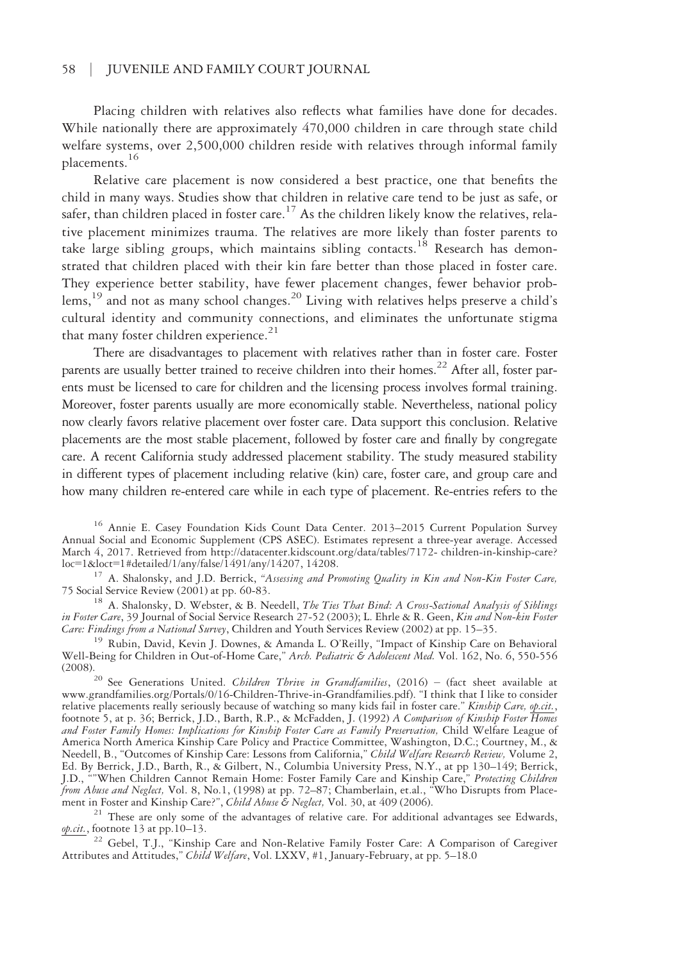Placing children with relatives also reflects what families have done for decades. While nationally there are approximately 470,000 children in care through state child welfare systems, over 2,500,000 children reside with relatives through informal family placements.16

Relative care placement is now considered a best practice, one that benefits the child in many ways. Studies show that children in relative care tend to be just as safe, or safer, than children placed in foster care.<sup>17</sup> As the children likely know the relatives, relative placement minimizes trauma. The relatives are more likely than foster parents to take large sibling groups, which maintains sibling contacts.<sup>18</sup> Research has demonstrated that children placed with their kin fare better than those placed in foster care. They experience better stability, have fewer placement changes, fewer behavior problems,<sup>19</sup> and not as many school changes.<sup>20</sup> Living with relatives helps preserve a child's cultural identity and community connections, and eliminates the unfortunate stigma that many foster children experience. $^{21}$ 

There are disadvantages to placement with relatives rather than in foster care. Foster parents are usually better trained to receive children into their homes.<sup>22</sup> After all, foster parents must be licensed to care for children and the licensing process involves formal training. Moreover, foster parents usually are more economically stable. Nevertheless, national policy now clearly favors relative placement over foster care. Data support this conclusion. Relative placements are the most stable placement, followed by foster care and finally by congregate care. A recent California study addressed placement stability. The study measured stability in different types of placement including relative (kin) care, foster care, and group care and how many children re-entered care while in each type of placement. Re-entries refers to the

<sup>16</sup> Annie E. Casey Foundation Kids Count Data Center. 2013–2015 Current Population Survey Annual Social and Economic Supplement (CPS ASEC). Estimates represent a three-year average. Accessed March 4, 2017. Retrieved from [http://datacenter.kidscount.org/data/tables/7172-](http://datacenter.kidscount.org/data/tables/7172) children-in-kinship-care?<br>loc=1&loct=1#detailed/1/any/false/1491/any/14207, 14208.

<sup>17</sup> A. Shalonsky, and J.D. Berrick, "Assessing and Promoting Quality in Kin and Non-Kin Foster Care, 75 Social Service Review (2001) at pp. 60-83.

<sup>18</sup> A. Shalonsky, D. Webster, & B. Needell, The Ties That Bind: A Cross-Sectional Analysis of Siblings in Foster Care, 39 Journal of Social Service Research 27-52 (2003); L. Ehrle & R. Geen, Kin and Non-kin Foster<br>Care: Findings from a National Survey, Children and Youth Services Review (2002) at pp. 15–35.

<sup>19</sup> Rubin, David, Kevin J. Downes, & Amanda L. O'Reilly, "Impact of Kinship Care on Behavioral Well-Being for Children in Out-of-Home Care," Arch. Pediatric & Adolescent Med. Vol. 162, No. 6, 550-556 (2008).<br><sup>20</sup> See Generations United. *Children Thrive in Grandfamilies*, (2016) – (fact sheet available at

[www.grandfamilies.org/Portals/0/16-Children-Thrive-in-Grandfamilies.pdf\)](http://www.grandfamilies.org/Portals/0/16-Children-Thrive-in-Grandfamilies.pdf). "I think that I like to consider relative placements really seriously because of watching so many kids fail in foster care." Kinship Care, op.cit., footnote 5, at p. 36; Berrick, J.D., Barth, R.P., & McFadden, J. (1992) A Comparison of Kinship Foster Home and Foster Family Homes: Implications for Kinship Foster Care as Family Preservation, Child Welfare League of America North America Kinship Care Policy and Practice Committee, Washington, D.C.; Courtney, M., & Needell, B., "Outcomes of Kinship Care: Lessons from California," Child Welfare Research Review, Volume 2, Ed. By Berrick, J.D., Barth, R., & Gilbert, N., Columbia University Press, N.Y., at pp 130–149; Berrick, J.D., "When Children Cannot Remain Home: Foster Family Care and Kinship Care," Protecting Children from Abuse and Neglect, Vol. 8, No.1, (1998) at pp. 72–87; Chamberlain, et.al., "Who Disrupts from Place-<br>from Abuse and Neglect, Vol. 8, No.1, (1998) at pp. 72–87; Chamberlain, et.al., "Who Disrupts from Place-<br>ment in Fo

 $21$  These are only some of the advantages of relative care. For additional advantages see Edwards, op.cit., footnote 13 at pp.10–13.

<sup>22</sup> Gebel, T.J., "Kinship Care and Non-Relative Family Foster Care: A Comparison of Caregiver Attributes and Attitudes," Child Welfare, Vol. LXXV, #1, January-February, at pp. 5-18.0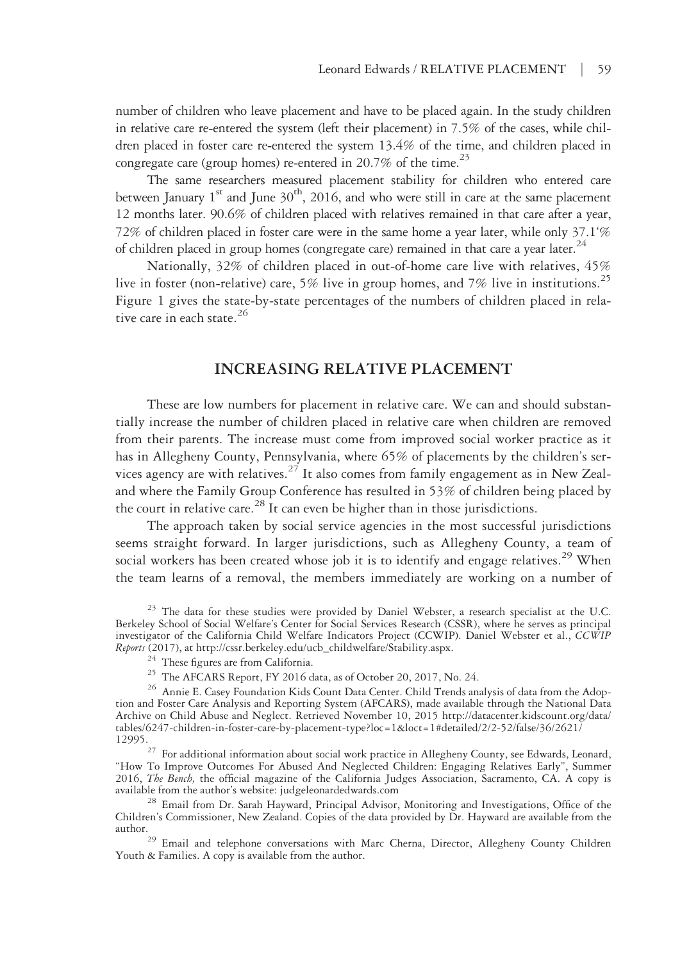number of children who leave placement and have to be placed again. In the study children in relative care re-entered the system (left their placement) in 7.5% of the cases, while children placed in foster care re-entered the system 13.4% of the time, and children placed in congregate care (group homes) re-entered in 20.7% of the time.<sup>23</sup>

The same researchers measured placement stability for children who entered care between January  $1^{st}$  and June  $30^{th}$ , 2016, and who were still in care at the same placement 12 months later. 90.6% of children placed with relatives remained in that care after a year, 72% of children placed in foster care were in the same home a year later, while only 37.1'% of children placed in group homes (congregate care) remained in that care a year later.<sup>24</sup>

Nationally, 32% of children placed in out-of-home care live with relatives, 45% live in foster (non-relative) care, 5% live in group homes, and 7% live in institutions.<sup>25</sup> Figure 1 gives the state-by-state percentages of the numbers of children placed in relative care in each state.<sup>26</sup>

#### INCREASING RELATIVE PLACEMENT

These are low numbers for placement in relative care. We can and should substantially increase the number of children placed in relative care when children are removed from their parents. The increase must come from improved social worker practice as it has in Allegheny County, Pennsylvania, where 65% of placements by the children's services agency are with relatives.<sup>27</sup> It also comes from family engagement as in New Zealand where the Family Group Conference has resulted in 53% of children being placed by the court in relative care.<sup>28</sup> It can even be higher than in those jurisdictions.

The approach taken by social service agencies in the most successful jurisdictions seems straight forward. In larger jurisdictions, such as Allegheny County, a team of social workers has been created whose job it is to identify and engage relatives.<sup>29</sup> When the team learns of a removal, the members immediately are working on a number of

<sup>23</sup> The data for these studies were provided by Daniel Webster, a research specialist at the U.C. Berkeley School of Social Welfare's Center for Social Services Research (CSSR), where he serves as principal investigator of the California Child Welfare Indicators Project (CCWIP). Daniel Webster et al., CCWIP Reports (2017), at [http://cssr.berkeley.edu/ucb\\_childwelfare/Stability.aspx.](http://cssr.berkeley.edu/ucb_childwelfare/Stability.aspx)<br><sup>24</sup> These figures are from California.

- 
- 

[12995.](http://datacenter.kidscount.org/data/tables/6247-children-in-foster-care-by-placement-type?loc=1&loct=1#detailed/2/2-52/false/36/2621/12995)<br><sup>27</sup> For additional information about social work practice in Allegheny County, see Edwards, Leonard, "How To Improve Outcomes For Abused And Neglected Children: Engaging Relatives Early", Summer 2016, The Bench, the official magazine of the California Judges Association, Sacramento, CA. A copy is available from the author's website: judgeleonardedwards.com

<sup>28</sup> Email from Dr. Sarah Hayward, Principal Advisor, Monitoring and Investigations, Office of the Children's Commissioner, New Zealand. Copies of the data provided by Dr. Hayward are available from the

<sup>29</sup> Email and telephone conversations with Marc Cherna, Director, Allegheny County Children Youth & Families. A copy is available from the author.

<sup>&</sup>lt;sup>25</sup> The AFCARS Report, FY 2016 data, as of October 20, 2017, No. 24.  $^{26}$  Annie E. Casey Foundation Kids Count Data Center. Child Trends analysis of data from the Adoption and Foster Care Analysis and Reporting System (AFCARS), made available through the National Data Archive on Child Abuse and Neglect. Retrieved November 10, 2015 [http://datacenter.kidscount.org/data/](http://datacenter.kidscount.org/data/tables/6247-children-in-foster-care-by-placement-type?loc=1&loct=1#detailed/2/2-52/false/36/2621/12995) [tables/6247-children-in-foster-care-by-placement-type?loc=1&loct=1#detailed/2/2-52/false/36/2621/](http://datacenter.kidscount.org/data/tables/6247-children-in-foster-care-by-placement-type?loc=1&loct=1#detailed/2/2-52/false/36/2621/12995)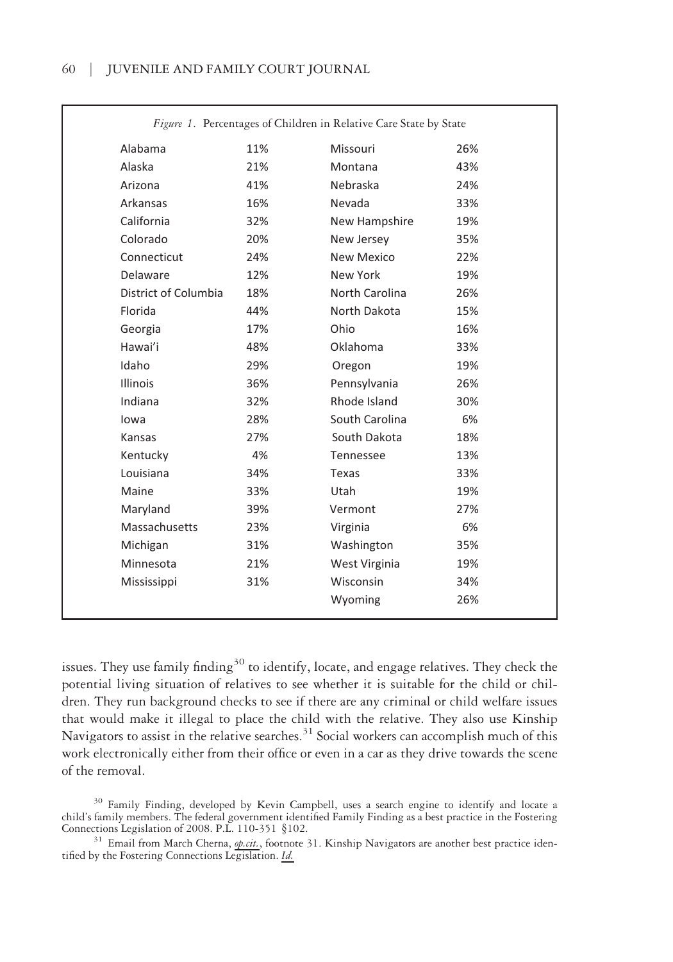| Alabama              | 11% | Missouri          | 26% |
|----------------------|-----|-------------------|-----|
| Alaska               | 21% | Montana           | 43% |
| Arizona              | 41% | Nebraska          | 24% |
| Arkansas             | 16% | Nevada            | 33% |
| California           | 32% | New Hampshire     | 19% |
| Colorado             | 20% | New Jersey        | 35% |
| Connecticut          | 24% | <b>New Mexico</b> | 22% |
| Delaware             | 12% | New York          | 19% |
| District of Columbia | 18% | North Carolina    | 26% |
| Florida              | 44% | North Dakota      | 15% |
| Georgia              | 17% | Ohio              | 16% |
| Hawai'i              | 48% | Oklahoma          | 33% |
| Idaho                | 29% | Oregon            | 19% |
| <b>Illinois</b>      | 36% | Pennsylvania      | 26% |
| Indiana              | 32% | Rhode Island      | 30% |
| lowa                 | 28% | South Carolina    | 6%  |
| Kansas               | 27% | South Dakota      | 18% |
| Kentucky             | 4%  | Tennessee         | 13% |
| Louisiana            | 34% | Texas             | 33% |
| Maine                | 33% | Utah              | 19% |
| Maryland             | 39% | Vermont           | 27% |
| Massachusetts        | 23% | Virginia          | 6%  |
| Michigan             | 31% | Washington        | 35% |
| Minnesota            | 21% | West Virginia     | 19% |
| Mississippi          | 31% | Wisconsin         | 34% |
|                      |     |                   |     |

issues. They use family finding<sup>30</sup> to identify, locate, and engage relatives. They check the potential living situation of relatives to see whether it is suitable for the child or children. They run background checks to see if there are any criminal or child welfare issues that would make it illegal to place the child with the relative. They also use Kinship Navigators to assist in the relative searches.<sup>31</sup> Social workers can accomplish much of this work electronically either from their office or even in a car as they drive towards the scene of the removal.

<sup>&</sup>lt;sup>30</sup> Family Finding, developed by Kevin Campbell, uses a search engine to identify and locate a child's family members. The federal government identified Family Finding as a best practice in the Fostering Connections Legislation of 2008. P.L. 110-351 §102.<br><sup>31</sup> Email from March Cherna, <u>op.cit.,</u> footnote 31. Kinship Navigators are another best practice iden-

<sup>&</sup>lt;sup>31</sup> Email from March Cherna, *op.cit.*, footnote 31. Kinship Navigators are another best practice identified by the Fostering Connections Legislation. *Id.*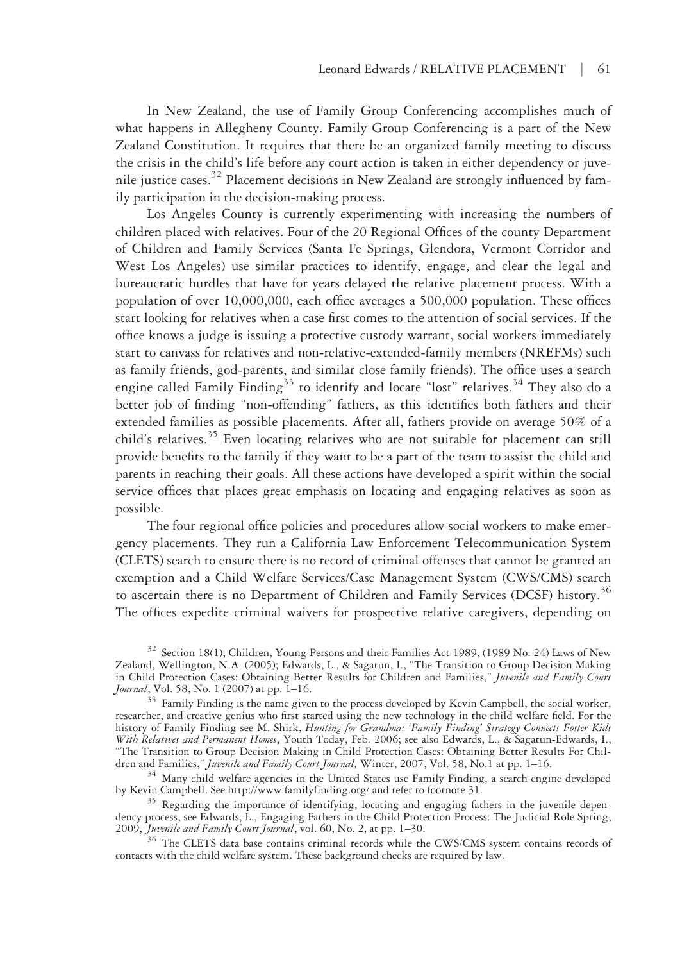In New Zealand, the use of Family Group Conferencing accomplishes much of what happens in Allegheny County. Family Group Conferencing is a part of the New Zealand Constitution. It requires that there be an organized family meeting to discuss the crisis in the child's life before any court action is taken in either dependency or juvenile justice cases.<sup>32</sup> Placement decisions in New Zealand are strongly influenced by family participation in the decision-making process.

Los Angeles County is currently experimenting with increasing the numbers of children placed with relatives. Four of the 20 Regional Offices of the county Department of Children and Family Services (Santa Fe Springs, Glendora, Vermont Corridor and West Los Angeles) use similar practices to identify, engage, and clear the legal and bureaucratic hurdles that have for years delayed the relative placement process. With a population of over 10,000,000, each office averages a 500,000 population. These offices start looking for relatives when a case first comes to the attention of social services. If the office knows a judge is issuing a protective custody warrant, social workers immediately start to canvass for relatives and non-relative-extended-family members (NREFMs) such as family friends, god-parents, and similar close family friends). The office uses a search engine called Family Finding<sup>33</sup> to identify and locate "lost" relatives.<sup>34</sup> They also do a better job of finding "non-offending" fathers, as this identifies both fathers and their extended families as possible placements. After all, fathers provide on average 50% of a child's relatives.<sup>35</sup> Even locating relatives who are not suitable for placement can still provide benefits to the family if they want to be a part of the team to assist the child and parents in reaching their goals. All these actions have developed a spirit within the social service offices that places great emphasis on locating and engaging relatives as soon as possible.

The four regional office policies and procedures allow social workers to make emergency placements. They run a California Law Enforcement Telecommunication System (CLETS) search to ensure there is no record of criminal offenses that cannot be granted an exemption and a Child Welfare Services/Case Management System (CWS/CMS) search to ascertain there is no Department of Children and Family Services (DCSF) history.<sup>36</sup> The offices expedite criminal waivers for prospective relative caregivers, depending on

 $32$  Section 18(1), Children, Young Persons and their Families Act 1989, (1989 No. 24) Laws of New Zealand, Wellington, N.A. (2005); Edwards, L., & Sagatun, I., "The Transition to Group Decision Making in Child Protection Cases: Obtaining Better Results for Children and Families," Juvenile and Family Court Journal, Vol. 58, No. 1 (2007) at pp. 1–16.

<sup>33</sup> Family Finding is the name given to the process developed by Kevin Campbell, the social worker, researcher, and creative genius who first started using the new technology in the child welfare field. For the history of Family Finding see M. Shirk, Hunting for Grandma: 'Family Finding' Strategy Connects Foster Kids With Relatives and Permanent Homes, Youth Today, Feb. 2006; see also Edwards, L., & Sagatun-Edwards, I., "The Transition to Group Decision Making in Child Protection Cases: Obtaining Better Results For Children and Families," Juvenile and Family Court Journal, Winter, 2007, Vol. 58, No.1 at pp. 1-16.

<sup>34</sup> Many child welfare agencies in the United States use Family Finding, a search engine developed<br>by Kevin Campbell. See http://www.familyfinding.org/ and refer to footnote 31.

<sup>35</sup> Regarding the importance of identifying, locating and engaging fathers in the juvenile dependency process, see Edwards, L., Engaging Fathers in the Child Protection Process: The Judicial Role Spring, 2009, Juvenile and Family Court Journal, vol. 60, No. 2, at pp. 1-30.

<sup>36</sup> The CLETS data base contains criminal records while the CWS/CMS system contains records of contacts with the child welfare system. These background checks are required by law.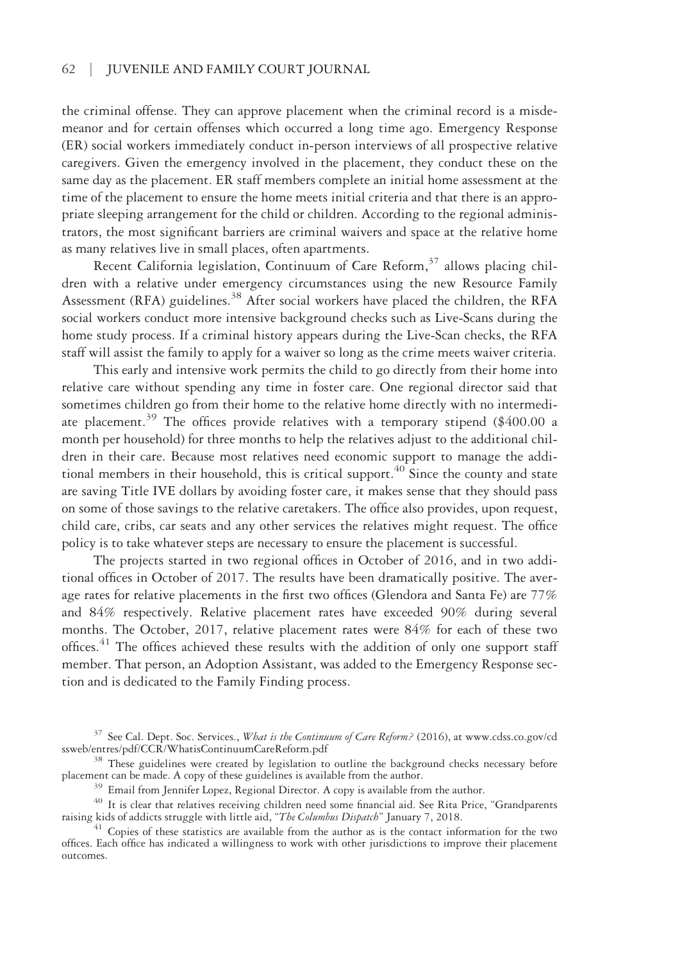the criminal offense. They can approve placement when the criminal record is a misdemeanor and for certain offenses which occurred a long time ago. Emergency Response (ER) social workers immediately conduct in-person interviews of all prospective relative caregivers. Given the emergency involved in the placement, they conduct these on the same day as the placement. ER staff members complete an initial home assessment at the time of the placement to ensure the home meets initial criteria and that there is an appropriate sleeping arrangement for the child or children. According to the regional administrators, the most significant barriers are criminal waivers and space at the relative home as many relatives live in small places, often apartments.

Recent California legislation, Continuum of Care Reform,<sup>37</sup> allows placing children with a relative under emergency circumstances using the new Resource Family Assessment (RFA) guidelines.<sup>38</sup> After social workers have placed the children, the RFA social workers conduct more intensive background checks such as Live-Scans during the home study process. If a criminal history appears during the Live-Scan checks, the RFA staff will assist the family to apply for a waiver so long as the crime meets waiver criteria.

This early and intensive work permits the child to go directly from their home into relative care without spending any time in foster care. One regional director said that sometimes children go from their home to the relative home directly with no intermediate placement.<sup>39</sup> The offices provide relatives with a temporary stipend (\$400.00 a month per household) for three months to help the relatives adjust to the additional children in their care. Because most relatives need economic support to manage the additional members in their household, this is critical support.<sup>40</sup> Since the county and state are saving Title IVE dollars by avoiding foster care, it makes sense that they should pass on some of those savings to the relative caretakers. The office also provides, upon request, child care, cribs, car seats and any other services the relatives might request. The office policy is to take whatever steps are necessary to ensure the placement is successful.

The projects started in two regional offices in October of 2016, and in two additional offices in October of 2017. The results have been dramatically positive. The average rates for relative placements in the first two offices (Glendora and Santa Fe) are 77% and 84% respectively. Relative placement rates have exceeded 90% during several months. The October, 2017, relative placement rates were 84% for each of these two offices.<sup>41</sup> The offices achieved these results with the addition of only one support staff member. That person, an Adoption Assistant, was added to the Emergency Response section and is dedicated to the Family Finding process.

<sup>&</sup>lt;sup>37</sup> See Cal. Dept. Soc. Services., What is the Continuum of Care Reform? (2016), at [www.cdss.co.gov/cd](http://www.cdss.co.gov/cdssweb/entres/pdf/CCR/WhatisContinuumCareReform.pdf) ssweb/entres/pdf/CCR/WhatisContinuumCareReform.pdf

<sup>&</sup>lt;sup>38</sup> These guidelines were created by legislation to outline the background checks necessary before placement can be made. A copy of these guidelines is available from the author.

<sup>&</sup>lt;sup>39</sup> Email from Jennifer Lopez, Regional Director. A copy is available from the author.<br><sup>40</sup> It is clear that relatives receiving children need some financial aid. See Rita Price, "Grandparents raising kids of addicts str

 $41$  Copies of these statistics are available from the author as is the contact information for the two offices. Each office has indicated a willingness to work with other jurisdictions to improve their placement outcomes.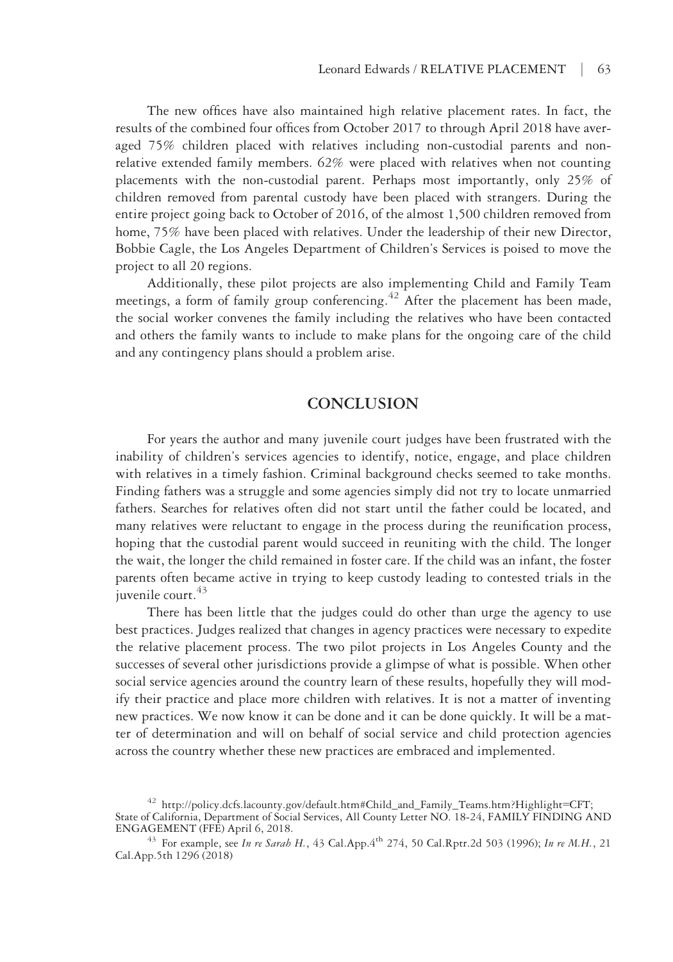The new offices have also maintained high relative placement rates. In fact, the results of the combined four offices from October 2017 to through April 2018 have averaged 75% children placed with relatives including non-custodial parents and nonrelative extended family members. 62% were placed with relatives when not counting placements with the non-custodial parent. Perhaps most importantly, only 25% of children removed from parental custody have been placed with strangers. During the entire project going back to October of 2016, of the almost 1,500 children removed from home, 75% have been placed with relatives. Under the leadership of their new Director, Bobbie Cagle, the Los Angeles Department of Children's Services is poised to move the project to all 20 regions.

Additionally, these pilot projects are also implementing Child and Family Team meetings, a form of family group conferencing.<sup>42</sup> After the placement has been made, the social worker convenes the family including the relatives who have been contacted and others the family wants to include to make plans for the ongoing care of the child and any contingency plans should a problem arise.

## **CONCLUSION**

For years the author and many juvenile court judges have been frustrated with the inability of children's services agencies to identify, notice, engage, and place children with relatives in a timely fashion. Criminal background checks seemed to take months. Finding fathers was a struggle and some agencies simply did not try to locate unmarried fathers. Searches for relatives often did not start until the father could be located, and many relatives were reluctant to engage in the process during the reunification process, hoping that the custodial parent would succeed in reuniting with the child. The longer the wait, the longer the child remained in foster care. If the child was an infant, the foster parents often became active in trying to keep custody leading to contested trials in the juvenile court.<sup>43</sup>

There has been little that the judges could do other than urge the agency to use best practices. Judges realized that changes in agency practices were necessary to expedite the relative placement process. The two pilot projects in Los Angeles County and the successes of several other jurisdictions provide a glimpse of what is possible. When other social service agencies around the country learn of these results, hopefully they will modify their practice and place more children with relatives. It is not a matter of inventing new practices. We now know it can be done and it can be done quickly. It will be a matter of determination and will on behalf of social service and child protection agencies across the country whether these new practices are embraced and implemented.

<sup>42</sup> http://policy.dcfs.lacounty.gov/default.htm#Child\_and\_Family\_Teams.htm?Highlight=CFT; State of California, Department of Social Services, All County Letter NO. 18-24, FAMILY FINDING AND ENGAGEMENT (FFE) April 6, 2018.

<sup>&</sup>lt;sup>43</sup> For example, see In re Sarah H., 43 Cal.App.<sup>4th</sup> 274, 50 Cal.Rptr.2d 503 (1996); In re M.H., 21 Cal.App.5th 1296 (2018)